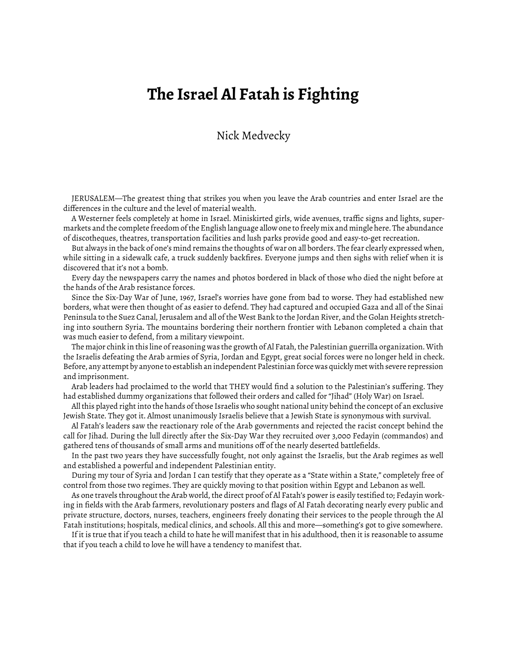## **The Israel Al Fatah is Fighting**

## Nick Medvecky

JERUSALEM—The greatest thing that strikes you when you leave the Arab countries and enter Israel are the differences in the culture and the level of material wealth.

A Westerner feels completely at home in Israel. Miniskirted girls, wide avenues, traffic signs and lights, supermarkets and the complete freedom of the English language allow one to freely mix and mingle here. The abundance of discotheques, theatres, transportation facilities and lush parks provide good and easy-to-get recreation.

But always in the back of one's mind remains the thoughts of war on all borders. The fear clearly expressed when, while sitting in a sidewalk cafe, a truck suddenly backfires. Everyone jumps and then sighs with relief when it is discovered that it's not a bomb.

Every day the newspapers carry the names and photos bordered in black of those who died the night before at the hands of the Arab resistance forces.

Since the Six-Day War of June, 1967, Israel's worries have gone from bad to worse. They had established new borders, what were then thought of as easier to defend. They had captured and occupied Gaza and all of the Sinai Peninsula to the Suez Canal, Jerusalem and all of the West Bank to the Jordan River, and the Golan Heights stretching into southern Syria. The mountains bordering their northern frontier with Lebanon completed a chain that was much easier to defend, from a military viewpoint.

The major chink in this line of reasoning was the growth of Al Fatah, the Palestinian guerrilla organization. With the Israelis defeating the Arab armies of Syria, Jordan and Egypt, great social forces were no longer held in check. Before, any attempt by anyone to establish an independent Palestinian force was quickly met with severe repression and imprisonment.

Arab leaders had proclaimed to the world that THEY would find a solution to the Palestinian's suffering. They had established dummy organizations that followed their orders and called for "Jihad" (Holy War) on Israel.

All this played right into the hands of those Israelis who sought national unity behind the concept of an exclusive Jewish State. They got it. Almost unanimously Israelis believe that a Jewish State is synonymous with survival.

Al Fatah's leaders saw the reactionary role of the Arab governments and rejected the racist concept behind the call for Jihad. During the lull directly after the Six-Day War they recruited over 3,000 Fedayin (commandos) and gathered tens of thousands of small arms and munitions off of the nearly deserted battlefields.

In the past two years they have successfully fought, not only against the Israelis, but the Arab regimes as well and established a powerful and independent Palestinian entity.

During my tour of Syria and Jordan I can testify that they operate as a "State within a State," completely free of control from those two regimes. They are quickly moving to that position within Egypt and Lebanon as well.

As one travels throughout the Arab world, the direct proof of Al Fatah's power is easily testified to; Fedayin working in fields with the Arab farmers, revolutionary posters and flags of Al Fatah decorating nearly every public and private structure, doctors, nurses, teachers, engineers freely donating their services to the people through the Al Fatah institutions; hospitals, medical clinics, and schools. All this and more—something's got to give somewhere.

If it is true that if you teach a child to hate he will manifest that in his adulthood, then it is reasonable to assume that if you teach a child to love he will have a tendency to manifest that.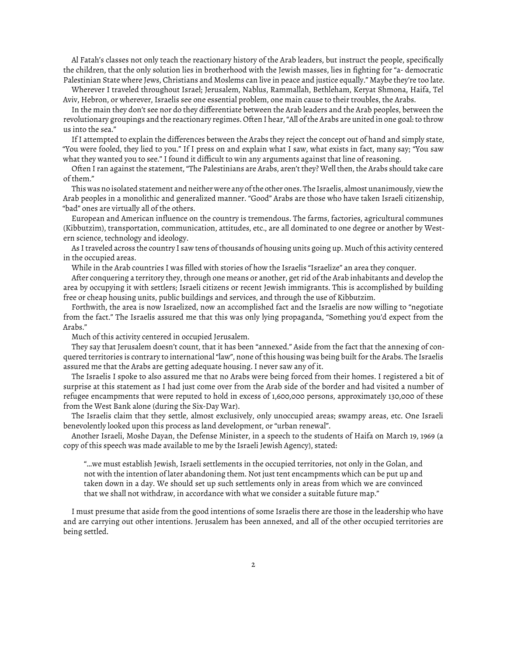Al Fatah's classes not only teach the reactionary history of the Arab leaders, but instruct the people, specifically the children, that the only solution lies in brotherhood with the Jewish masses, lies in fighting for "a- democratic Palestinian State where Jews, Christians and Moslems can live in peace and justice equally." Maybe they're too late.

Wherever I traveled throughout Israel; Jerusalem, Nablus, Rammallah, Bethleham, Keryat Shmona, Haifa, Tel Aviv, Hebron, or wherever, Israelis see one essential problem, one main cause to their troubles, the Arabs.

In the main they don't see nor do they differentiate between the Arab leaders and the Arab peoples, between the revolutionary groupings and the reactionary regimes. Often I hear, "All of the Arabs are united in one goal: to throw us into the sea."

If I attempted to explain the differences between the Arabs they reject the concept out of hand and simply state, "You were fooled, they lied to you." If I press on and explain what I saw, what exists in fact, many say; "You saw what they wanted you to see." I found it difficult to win any arguments against that line of reasoning.

Often I ran against the statement, "The Palestinians are Arabs, aren't they? Well then, the Arabs should take care of them."

This was no isolated statement and neither were any of the other ones. The Israelis, almost unanimously, view the Arab peoples in a monolithic and generalized manner. "Good" Arabs are those who have taken Israeli citizenship, "bad" ones are virtually all of the others.

European and American influence on the country is tremendous. The farms, factories, agricultural communes (Kibbutzim), transportation, communication, attitudes, etc., are all dominated to one degree or another by Western science, technology and ideology.

As I traveled across the country I saw tens of thousands of housing units going up. Much of this activity centered in the occupied areas.

While in the Arab countries I was filled with stories of how the Israelis "Israelize" an area they conquer.

After conquering a territory they, through one means or another, get rid of the Arab inhabitants and develop the area by occupying it with settlers; Israeli citizens or recent Jewish immigrants. This is accomplished by building free or cheap housing units, public buildings and services, and through the use of Kibbutzim.

Forthwith, the area is now Israelized, now an accomplished fact and the Israelis are now willing to "negotiate from the fact." The Israelis assured me that this was only lying propaganda, "Something you'd expect from the Arabs."

Much of this activity centered in occupied Jerusalem.

They say that Jerusalem doesn't count, that it has been "annexed." Aside from the fact that the annexing of conquered territories is contrary to international "law", none of this housing was being built for the Arabs. The Israelis assured me that the Arabs are getting adequate housing. I never saw any of it.

The Israelis I spoke to also assured me that no Arabs were being forced from their homes. I registered a bit of surprise at this statement as I had just come over from the Arab side of the border and had visited a number of refugee encampments that were reputed to hold in excess of 1,600,000 persons, approximately 130,000 of these from the West Bank alone (during the Six-Day War).

The Israelis claim that they settle, almost exclusively, only unoccupied areas; swampy areas, etc. One Israeli benevolently looked upon this process as land development, or "urban renewal".

Another Israeli, Moshe Dayan, the Defense Minister, in a speech to the students of Haifa on March 19, 1969 (a copy of this speech was made available to me by the Israeli Jewish Agency), stated:

"…we must establish Jewish, Israeli settlements in the occupied territories, not only in the Golan, and not with the intention of later abandoning them. Not just tent encampments which can be put up and taken down in a day. We should set up such settlements only in areas from which we are convinced that we shall not withdraw, in accordance with what we consider a suitable future map."

I must presume that aside from the good intentions of some Israelis there are those in the leadership who have and are carrying out other intentions. Jerusalem has been annexed, and all of the other occupied territories are being settled.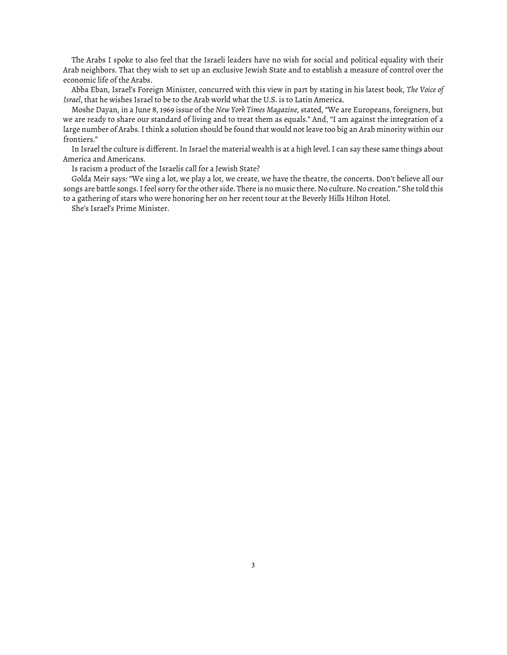The Arabs I spoke to also feel that the Israeli leaders have no wish for social and political equality with their Arab neighbors. That they wish to set up an exclusive Jewish State and to establish a measure of control over the economic life of the Arabs.

Abba Eban, Israel's Foreign Minister, concurred with this view in part by stating in his latest book, *The Voice of Israel*, that he wishes Israel to be to the Arab world what the U.S. is to Latin America.

Moshe Dayan, in a June 8, 1969 issue of the *New York Times Magazine*, stated, "We are Europeans, foreigners, but we are ready to share our standard of living and to treat them as equals." And, "I am against the integration of a large number of Arabs. I think a solution should be found that would not leave too big an Arab minority within our frontiers."

In Israel the culture is different. In Israel the material wealth is at a high level. I can say these same things about America and Americans.

Is racism a product of the Israelis call for a Jewish State?

Golda Meir says: "We sing a lot, we play a lot, we create, we have the theatre, the concerts. Don't believe all our songs are battle songs. I feel sorry for the other side. There is no music there. No culture. No creation." She told this to a gathering of stars who were honoring her on her recent tour at the Beverly Hills Hilton Hotel.

She's Israel's Prime Minister.